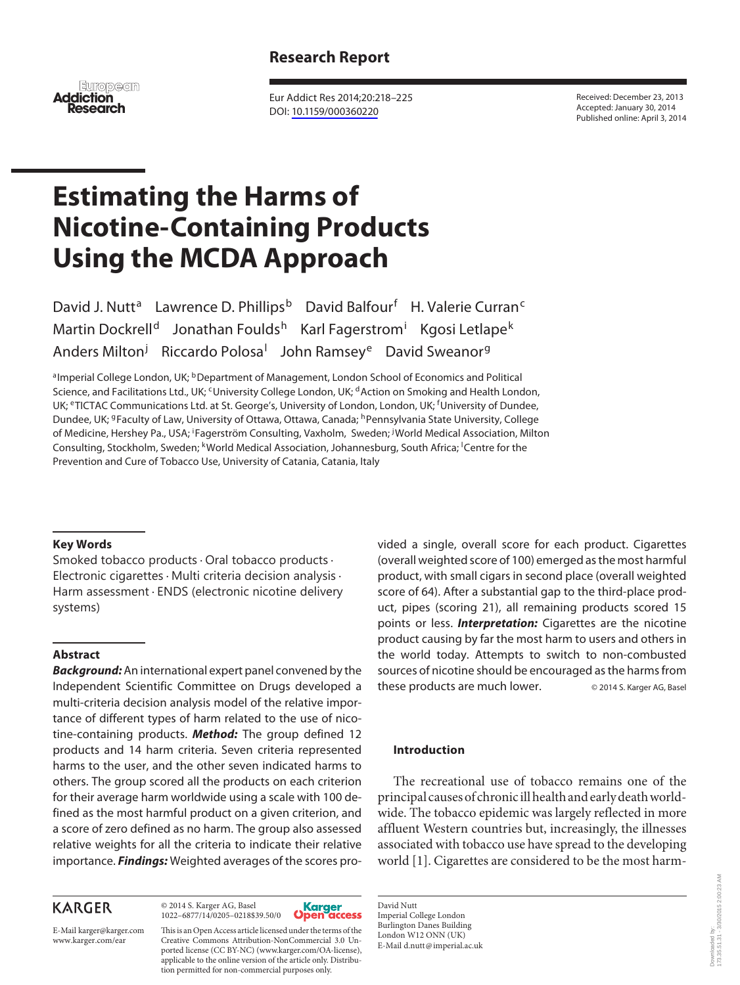# **Research Report**

**European Addiction Research**

 Eur Addict Res 2014;20:218–225 DOI: [10.1159/000360220](http://dx.doi.org/10.1159%2F000360220)

 Received: December 23, 2013 Accepted: January 30, 2014 Published online: April 3, 2014

# **Estimating the Harms of Nicotine-Containing Products Using the MCDA Approach**

David J. Nutt<sup>a</sup> Lawrence D. Phillips<sup>b</sup> David Balfour<sup>f</sup> H. Valerie Curran<sup>c</sup> Martin Dockrell<sup>d</sup> Jonathan Foulds<sup>h</sup> Karl Fagerstrom<sup>i</sup> Kgosi Letlape<sup>k</sup> Anders Milton<sup>j</sup> Riccardo Polosa<sup>l</sup> John Ramsey<sup>e</sup> David Sweanor<sup>g</sup>

a Imperial College London, UK; **b** Department of Management, London School of Economics and Political Science, and Facilitations Ltd., UK; <sup>c</sup> University College London, UK; <sup>d</sup> Action on Smoking and Health London, UK; <sup>e</sup>TICTAC Communications Ltd. at St. George's, University of London, London, UK; <sup>f</sup>University of Dundee, Dundee, UK; <sup>g</sup> Faculty of Law, University of Ottawa, Ottawa, Canada; <sup>h</sup> Pennsylvania State University, College of Medicine, Hershey Pa., USA; <sup>i</sup>Fagerström Consulting, Vaxholm, Sweden; <sup>j</sup>World Medical Association, Milton Consulting, Stockholm, Sweden; <sup>k</sup>World Medical Association, Johannesburg, South Africa; <sup>I</sup>Centre for the Prevention and Cure of Tobacco Use, University of Catania, Catania, Italy

#### **Key Words**

Smoked tobacco products · Oral tobacco products · Electronic cigarettes · Multi criteria decision analysis · Harm assessment · ENDS (electronic nicotine delivery systems)

# **Abstract**

*Background:* An international expert panel convened by the Independent Scientific Committee on Drugs developed a multi-criteria decision analysis model of the relative importance of different types of harm related to the use of nicotine-containing products. *Method:* The group defined 12 products and 14 harm criteria. Seven criteria represented harms to the user, and the other seven indicated harms to others. The group scored all the products on each criterion for their average harm worldwide using a scale with 100 defined as the most harmful product on a given criterion, and a score of zero defined as no harm. The group also assessed relative weights for all the criteria to indicate their relative importance. *Findings:* Weighted averages of the scores pro-

> © 2014 S. Karger AG, Basel 1022–6877/14/0205–0218\$39.50/0

# **KARGER**

E-Mail karger@karger.com www.karger.com/ear

Open This is an Open Access article licensed under the terms of the Creative Commons Attribution-NonCommercial 3.0 Unported license (CC BY-NC) (www.karger.com/OA-license), applicable to the online version of the article only. Distribution permitted for non-commercial purposes only.

Karger<br>)pen access

vided a single, overall score for each product. Cigarettes (overall weighted score of 100) emerged as the most harmful product, with small cigars in second place (overall weighted score of 64). After a substantial gap to the third-place product, pipes (scoring 21), all remaining products scored 15 points or less. *Interpretation:* Cigarettes are the nicotine product causing by far the most harm to users and others in the world today. Attempts to switch to non-combusted sources of nicotine should be encouraged as the harms from these products are much lower. © 2014 S. Karger AG, Basel

# **Introduction**

 The recreational use of tobacco remains one of the principal causes of chronic ill health and early death worldwide. The tobacco epidemic was largely reflected in more affluent Western countries but, increasingly, the illnesses associated with tobacco use have spread to the developing world [1]. Cigarettes are considered to be the most harm-

 David Nutt Imperial College London Burlington Danes Building London W12 ONN (UK) E-Mail d.nutt @ imperial.ac.uk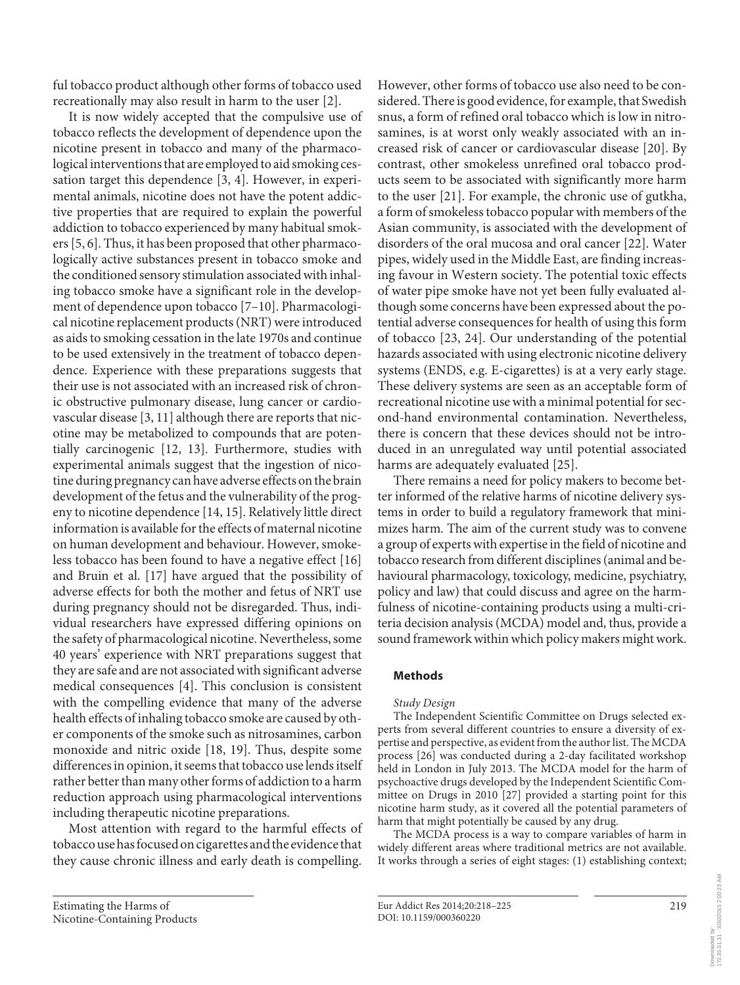ful tobacco product although other forms of tobacco used recreationally may also result in harm to the user [2] .

 It is now widely accepted that the compulsive use of tobacco reflects the development of dependence upon the nicotine present in tobacco and many of the pharmacological interventions that are employed to aid smoking cessation target this dependence [3, 4]. However, in experimental animals, nicotine does not have the potent addictive properties that are required to explain the powerful addiction to tobacco experienced by many habitual smokers [5, 6]. Thus, it has been proposed that other pharmacologically active substances present in tobacco smoke and the conditioned sensory stimulation associated with inhaling tobacco smoke have a significant role in the development of dependence upon tobacco [7-10]. Pharmacological nicotine replacement products (NRT) were introduced as aids to smoking cessation in the late 1970s and continue to be used extensively in the treatment of tobacco dependence. Experience with these preparations suggests that their use is not associated with an increased risk of chronic obstructive pulmonary disease, lung cancer or cardiovascular disease [3, 11] although there are reports that nicotine may be metabolized to compounds that are potentially carcinogenic [12, 13]. Furthermore, studies with experimental animals suggest that the ingestion of nicotine during pregnancy can have adverse effects on the brain development of the fetus and the vulnerability of the progeny to nicotine dependence [14, 15] . Relatively little direct information is available for the effects of maternal nicotine on human development and behaviour. However, smokeless tobacco has been found to have a negative effect [16] and Bruin et al. [17] have argued that the possibility of adverse effects for both the mother and fetus of NRT use during pregnancy should not be disregarded. Thus, individual researchers have expressed differing opinions on the safety of pharmacological nicotine. Nevertheless, some 40 years' experience with NRT preparations suggest that they are safe and are not associated with significant adverse medical consequences [4]. This conclusion is consistent with the compelling evidence that many of the adverse health effects of inhaling tobacco smoke are caused by other components of the smoke such as nitrosamines, carbon monoxide and nitric oxide [18, 19]. Thus, despite some differences in opinion, it seems that tobacco use lends itself rather better than many other forms of addiction to a harm reduction approach using pharmacological interventions including therapeutic nicotine preparations.

 Most attention with regard to the harmful effects of tobacco use has focused on cigarettes and the evidence that they cause chronic illness and early death is compelling.

However, other forms of tobacco use also need to be considered. There is good evidence, for example, that Swedish snus, a form of refined oral tobacco which is low in nitrosamines, is at worst only weakly associated with an increased risk of cancer or cardiovascular disease [20]. By contrast, other smokeless unrefined oral tobacco products seem to be associated with significantly more harm to the user [21] . For example, the chronic use of gutkha, a form of smokeless tobacco popular with members of the Asian community, is associated with the development of disorders of the oral mucosa and oral cancer [22] . Water pipes, widely used in the Middle East, are finding increasing favour in Western society. The potential toxic effects of water pipe smoke have not yet been fully evaluated although some concerns have been expressed about the potential adverse consequences for health of using this form of tobacco [23, 24] . Our understanding of the potential hazards associated with using electronic nicotine delivery systems (ENDS, e.g. E-cigarettes) is at a very early stage. These delivery systems are seen as an acceptable form of recreational nicotine use with a minimal potential for second-hand environmental contamination. Nevertheless, there is concern that these devices should not be introduced in an unregulated way until potential associated harms are adequately evaluated [25].

 There remains a need for policy makers to become better informed of the relative harms of nicotine delivery systems in order to build a regulatory framework that minimizes harm. The aim of the current study was to convene a group of experts with expertise in the field of nicotine and tobacco research from different disciplines (animal and behavioural pharmacology, toxicology, medicine, psychiatry, policy and law) that could discuss and agree on the harmfulness of nicotine-containing products using a multi-criteria decision analysis (MCDA) model and, thus, provide a sound framework within which policy makers might work.

# **Methods**

#### *Study Design*

 The Independent Scientific Committee on Drugs selected experts from several different countries to ensure a diversity of expertise and perspective, as evident from the author list. The MCDA process [26] was conducted during a 2-day facilitated workshop held in London in July 2013. The MCDA model for the harm of psychoactive drugs developed by the Independent Scientific Committee on Drugs in 2010 [27] provided a starting point for this nicotine harm study, as it covered all the potential parameters of harm that might potentially be caused by any drug.

 The MCDA process is a way to compare variables of harm in widely different areas where traditional metrics are not available. It works through a series of eight stages: (1) establishing context;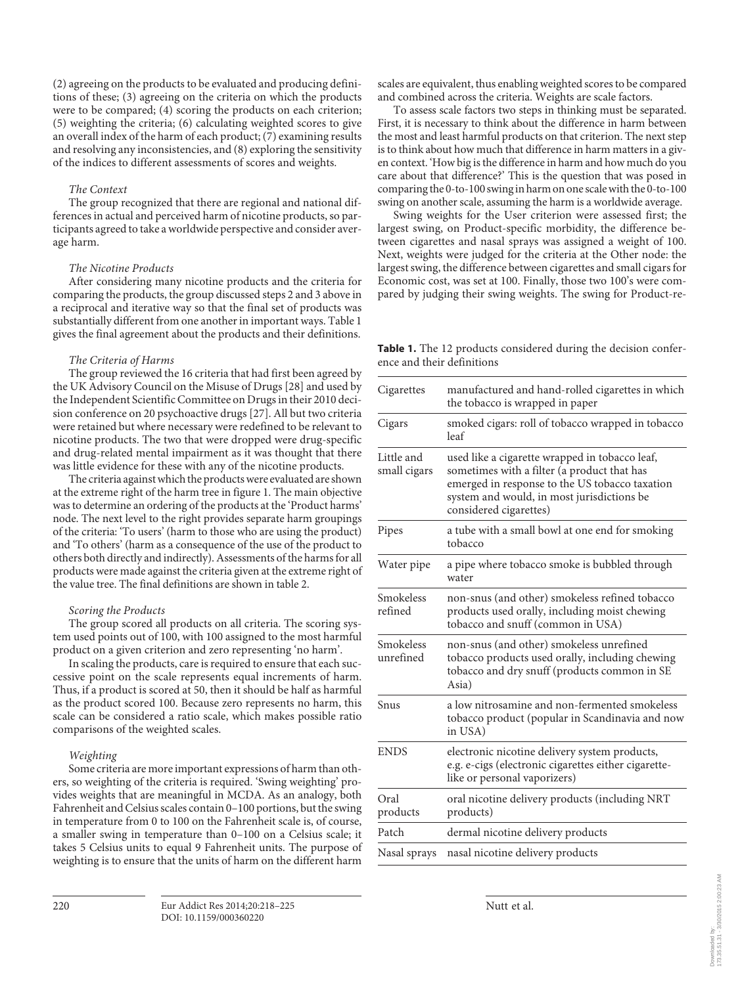(2) agreeing on the products to be evaluated and producing definitions of these; (3) agreeing on the criteria on which the products were to be compared; (4) scoring the products on each criterion; (5) weighting the criteria; (6) calculating weighted scores to give an overall index of the harm of each product; (7) examining results and resolving any inconsistencies, and (8) exploring the sensitivity of the indices to different assessments of scores and weights.

#### *The Context*

 The group recognized that there are regional and national differences in actual and perceived harm of nicotine products, so participants agreed to take a worldwide perspective and consider average harm.

#### *The Nicotine Products*

 After considering many nicotine products and the criteria for comparing the products, the group discussed steps 2 and 3 above in a reciprocal and iterative way so that the final set of products was substantially different from one another in important ways. Table 1 gives the final agreement about the products and their definitions.

#### *The Criteria of Harms*

 The group reviewed the 16 criteria that had first been agreed by the UK Advisory Council on the Misuse of Drugs [28] and used by the Independent Scientific Committee on Drugs in their 2010 decision conference on 20 psychoactive drugs [27] . All but two criteria were retained but where necessary were redefined to be relevant to nicotine products. The two that were dropped were drug-specific and drug-related mental impairment as it was thought that there was little evidence for these with any of the nicotine products.

 The criteria against which the products were evaluated are shown at the extreme right of the harm tree in figure 1. The main objective was to determine an ordering of the products at the 'Product harms' node. The next level to the right provides separate harm groupings of the criteria: 'To users' (harm to those who are using the product) and 'To others' (harm as a consequence of the use of the product to others both directly and indirectly). Assessments of the harms for all products were made against the criteria given at the extreme right of the value tree. The final definitions are shown in table 2.

#### *Scoring the Products*

 The group scored all products on all criteria. The scoring system used points out of 100, with 100 assigned to the most harmful product on a given criterion and zero representing 'no harm'.

 In scaling the products, care is required to ensure that each successive point on the scale represents equal increments of harm. Thus, if a product is scored at 50, then it should be half as harmful as the product scored 100. Because zero represents no harm, this scale can be considered a ratio scale, which makes possible ratio comparisons of the weighted scales.

#### *Weighting*

 Some criteria are more important expressions of harm than others, so weighting of the criteria is required. 'Swing weighting' provides weights that are meaningful in MCDA. As an analogy, both Fahrenheit and Celsius scales contain 0–100 portions, but the swing in temperature from 0 to 100 on the Fahrenheit scale is, of course, a smaller swing in temperature than 0–100 on a Celsius scale; it takes 5 Celsius units to equal 9 Fahrenheit units. The purpose of weighting is to ensure that the units of harm on the different harm

scales are equivalent, thus enabling weighted scores to be compared and combined across the criteria. Weights are scale factors.

 To assess scale factors two steps in thinking must be separated. First, it is necessary to think about the difference in harm between the most and least harmful products on that criterion. The next step is to think about how much that difference in harm matters in a given context. 'How big is the difference in harm and how much do you care about that difference?' This is the question that was posed in comparing the 0-to-100 swing in harm on one scale with the 0-to-100 swing on another scale, assuming the harm is a worldwide average.

 Swing weights for the User criterion were assessed first; the largest swing, on Product-specific morbidity, the difference between cigarettes and nasal sprays was assigned a weight of 100. Next, weights were judged for the criteria at the Other node: the largest swing, the difference between cigarettes and small cigars for Economic cost, was set at 100. Finally, those two 100's were compared by judging their swing weights. The swing for Product-re-

 **Table 1.** The 12 products considered during the decision conference and their definitions

| Cigarettes                 | manufactured and hand-rolled cigarettes in which<br>the tobacco is wrapped in paper                                                                                                                                     |  |  |  |  |
|----------------------------|-------------------------------------------------------------------------------------------------------------------------------------------------------------------------------------------------------------------------|--|--|--|--|
| Cigars                     | smoked cigars: roll of tobacco wrapped in tobacco<br>leaf                                                                                                                                                               |  |  |  |  |
| Little and<br>small cigars | used like a cigarette wrapped in tobacco leaf,<br>sometimes with a filter (a product that has<br>emerged in response to the US tobacco taxation<br>system and would, in most jurisdictions be<br>considered cigarettes) |  |  |  |  |
| Pipes                      | a tube with a small bowl at one end for smoking<br>tobacco                                                                                                                                                              |  |  |  |  |
| Water pipe                 | a pipe where tobacco smoke is bubbled through<br>water                                                                                                                                                                  |  |  |  |  |
| Smokeless<br>refined       | non-snus (and other) smokeless refined tobacco<br>products used orally, including moist chewing<br>tobacco and snuff (common in USA)                                                                                    |  |  |  |  |
| Smokeless<br>unrefined     | non-snus (and other) smokeless unrefined<br>tobacco products used orally, including chewing<br>tobacco and dry snuff (products common in SE<br>Asia)                                                                    |  |  |  |  |
| Snus                       | a low nitrosamine and non-fermented smokeless<br>tobacco product (popular in Scandinavia and now<br>in USA)                                                                                                             |  |  |  |  |
| <b>ENDS</b>                | electronic nicotine delivery system products,<br>e.g. e-cigs (electronic cigarettes either cigarette-<br>like or personal vaporizers)                                                                                   |  |  |  |  |
| Oral<br>products           | oral nicotine delivery products (including NRT<br>products)                                                                                                                                                             |  |  |  |  |
| Patch                      | dermal nicotine delivery products                                                                                                                                                                                       |  |  |  |  |
| Nasal sprays               | nasal nicotine delivery products                                                                                                                                                                                        |  |  |  |  |
|                            |                                                                                                                                                                                                                         |  |  |  |  |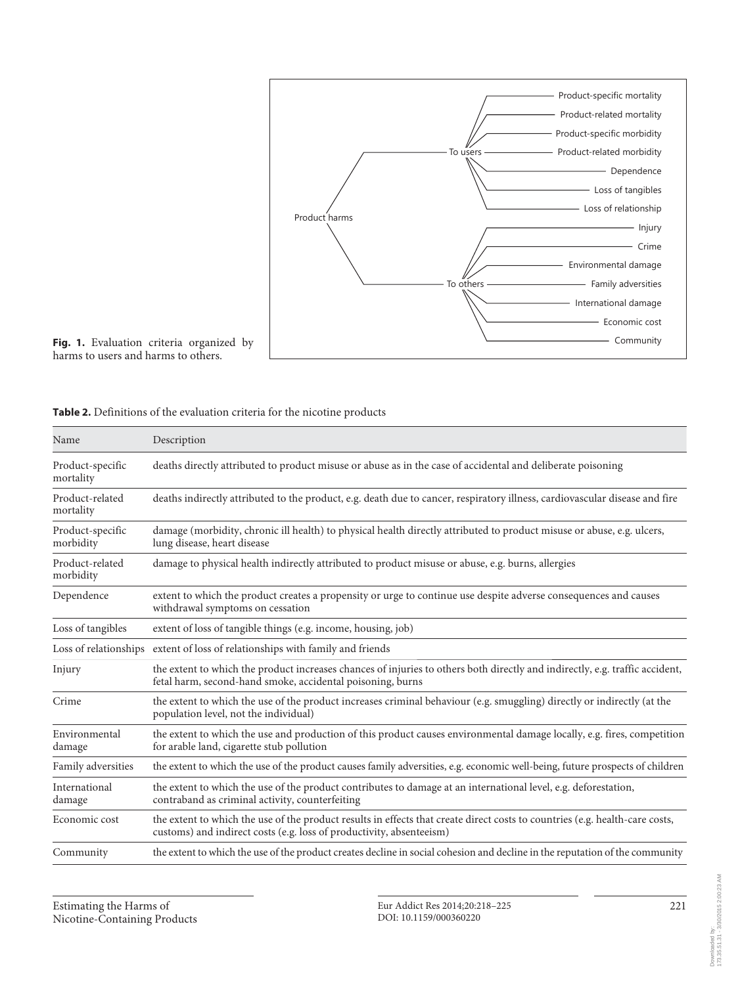

Fig. 1. Evaluation criteria organized by harms to users and harms to others.

| Table 2. Definitions of the evaluation criteria for the nicotine products |  |
|---------------------------------------------------------------------------|--|
|---------------------------------------------------------------------------|--|

| Name                          | Description                                                                                                                                                                                          |  |
|-------------------------------|------------------------------------------------------------------------------------------------------------------------------------------------------------------------------------------------------|--|
| Product-specific<br>mortality | deaths directly attributed to product misuse or abuse as in the case of accidental and deliberate poisoning                                                                                          |  |
| Product-related<br>mortality  | deaths indirectly attributed to the product, e.g. death due to cancer, respiratory illness, cardiovascular disease and fire                                                                          |  |
| Product-specific<br>morbidity | damage (morbidity, chronic ill health) to physical health directly attributed to product misuse or abuse, e.g. ulcers,<br>lung disease, heart disease                                                |  |
| Product-related<br>morbidity  | damage to physical health indirectly attributed to product misuse or abuse, e.g. burns, allergies                                                                                                    |  |
| Dependence                    | extent to which the product creates a propensity or urge to continue use despite adverse consequences and causes<br>withdrawal symptoms on cessation                                                 |  |
| Loss of tangibles             | extent of loss of tangible things (e.g. income, housing, job)                                                                                                                                        |  |
| Loss of relationships         | extent of loss of relationships with family and friends                                                                                                                                              |  |
| Injury                        | the extent to which the product increases chances of injuries to others both directly and indirectly, e.g. traffic accident,<br>fetal harm, second-hand smoke, accidental poisoning, burns           |  |
| Crime                         | the extent to which the use of the product increases criminal behaviour (e.g. smuggling) directly or indirectly (at the<br>population level, not the individual)                                     |  |
| Environmental<br>damage       | the extent to which the use and production of this product causes environmental damage locally, e.g. fires, competition<br>for arable land, cigarette stub pollution                                 |  |
| Family adversities            | the extent to which the use of the product causes family adversities, e.g. economic well-being, future prospects of children                                                                         |  |
| International<br>damage       | the extent to which the use of the product contributes to damage at an international level, e.g. deforestation,<br>contraband as criminal activity, counterfeiting                                   |  |
| Economic cost                 | the extent to which the use of the product results in effects that create direct costs to countries (e.g. health-care costs,<br>customs) and indirect costs (e.g. loss of productivity, absenteeism) |  |
| Community                     | the extent to which the use of the product creates decline in social cohesion and decline in the reputation of the community                                                                         |  |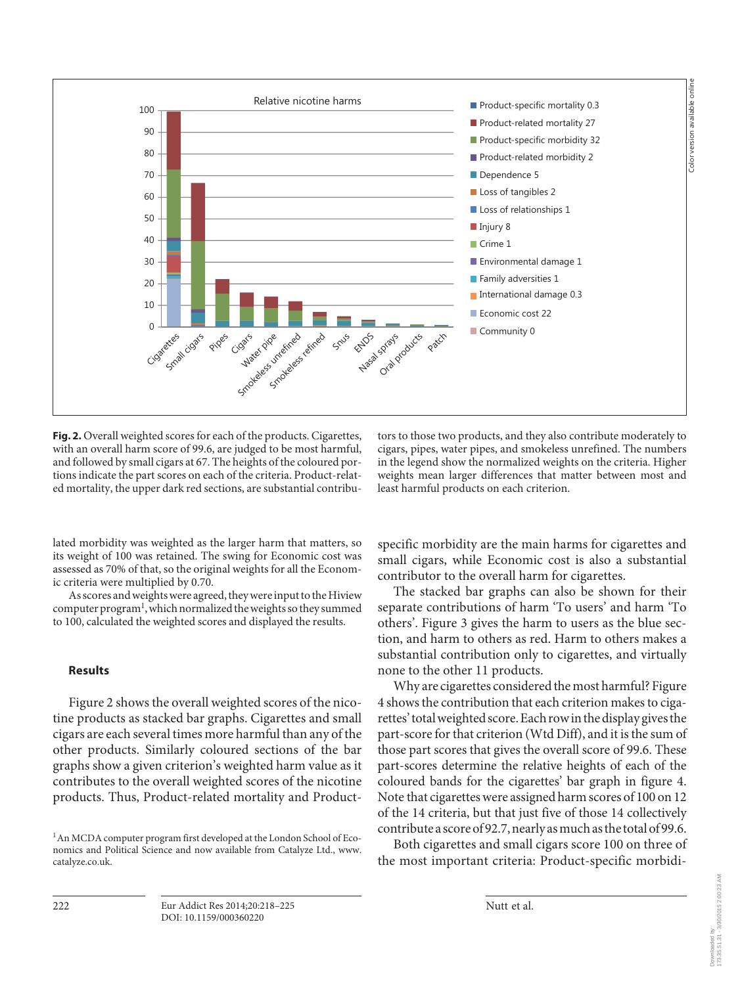

**Fig. 2.** Overall weighted scores for each of the products. Cigarettes, with an overall harm score of 99.6, are judged to be most harmful, and followed by small cigars at 67. The heights of the coloured portions indicate the part scores on each of the criteria. Product-related mortality, the upper dark red sections, are substantial contributors to those two products, and they also contribute moderately to cigars, pipes, water pipes, and smokeless unrefined. The numbers in the legend show the normalized weights on the criteria. Higher weights mean larger differences that matter between most and least harmful products on each criterion.

lated morbidity was weighted as the larger harm that matters, so its weight of 100 was retained. The swing for Economic cost was assessed as 70% of that, so the original weights for all the Economic criteria were multiplied by 0.70.

 As scores and weights were agreed, they were input to the Hiview computer program<sup>1</sup>, which normalized the weights so they summed to 100, calculated the weighted scores and displayed the results.

### **Results**

 Figure 2 shows the overall weighted scores of the nicotine products as stacked bar graphs. Cigarettes and small cigars are each several times more harmful than any of the other products. Similarly coloured sections of the bar graphs show a given criterion's weighted harm value as it contributes to the overall weighted scores of the nicotine products. Thus, Product-related mortality and Product-

<sup>1</sup> An MCDA computer program first developed at the London School of Economics and Political Science and now available from Catalyze Ltd., www. catalyze.co.uk.

specific morbidity are the main harms for cigarettes and small cigars, while Economic cost is also a substantial contributor to the overall harm for cigarettes.

 The stacked bar graphs can also be shown for their separate contributions of harm 'To users' and harm 'To others'. Figure 3 gives the harm to users as the blue section, and harm to others as red. Harm to others makes a substantial contribution only to cigarettes, and virtually none to the other 11 products.

 Why are cigarettes considered the most harmful? Figure 4 shows the contribution that each criterion makes to cigarettes' total weighted score. Each row in the display gives the part-score for that criterion (Wtd Diff), and it is the sum of those part scores that gives the overall score of 99.6. These part-scores determine the relative heights of each of the coloured bands for the cigarettes' bar graph in figure 4. Note that cigarettes were assigned harm scores of 100 on 12 of the 14 criteria, but that just five of those 14 collectively contribute a score of 92.7, nearly as much as the total of 99.6.

 Both cigarettes and small cigars score 100 on three of the most important criteria: Product-specific morbidi-

222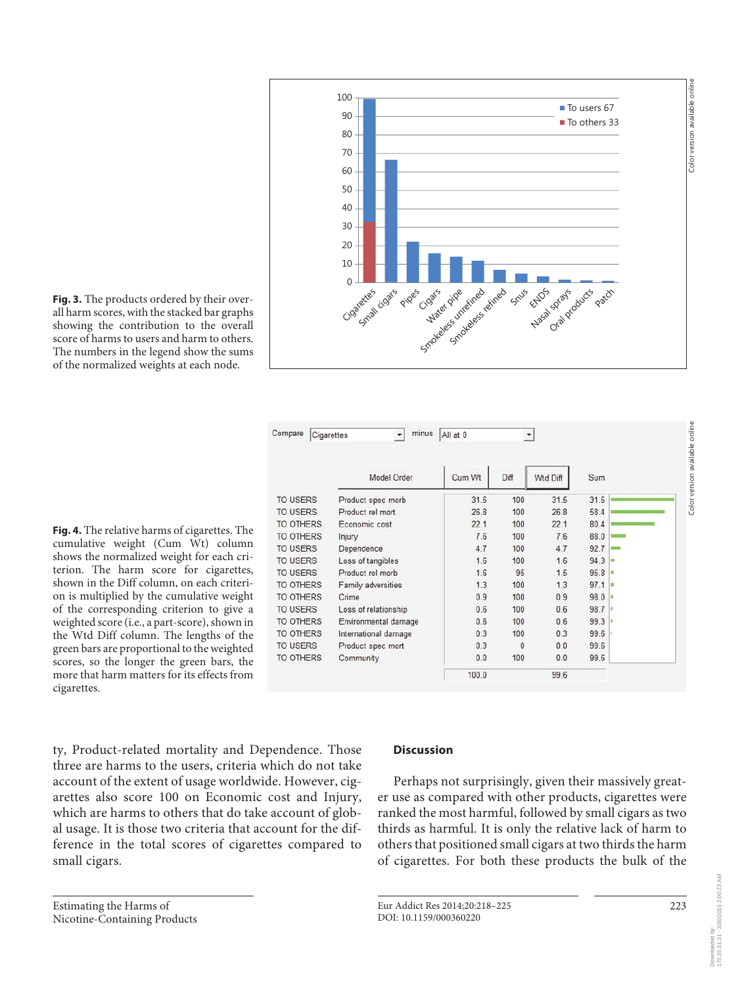

**Fig. 3.** The products ordered by their overall harm scores, with the stacked bar graphs showing the contribution to the overall score of harms to users and harm to others. The numbers in the legend show the sums of the normalized weights at each node.

**Fig. 4.** The relative harms of cigarettes. The cumulative weight (Cum Wt) column shows the normalized weight for each criterion. The harm score for cigarettes, shown in the Diff column, on each criterion is multiplied by the cumulative weight of the corresponding criterion to give a weighted score (i.e., a part-score), shown in the Wtd Diff column. The lengths of the green bars are proportional to the weighted scores, so the longer the green bars, the more that harm matters for its effects from cigarettes.

|                                      | Model Order          | Cum Wt | Diff         | Wtd Diff | Sum  |  |
|--------------------------------------|----------------------|--------|--------------|----------|------|--|
| <b>TO USERS</b><br>Product spec morb |                      | 31.5   | 100          | 31.5     | 31.5 |  |
| <b>TO USERS</b><br>Product rel mort  |                      | 26.8   | 100          | 26.8     | 58.4 |  |
| <b>TO OTHERS</b>                     | Economic cost        | 22.1   | 100          | 22.1     | 80.4 |  |
| TO OTHERS                            | Injury               | 7.6    | 100          | 7.6      | 88.0 |  |
| <b>TO USERS</b>                      | Dependence           | 4.7    | 100          | 4.7      | 92.7 |  |
| <b>TO USERS</b>                      | Loss of tangibles    | 1.6    | 100          | 1.6      | 94.3 |  |
| <b>TO USERS</b>                      | Product rel morb     | 1.6    | 95           | 1.5      | 95.8 |  |
| TO OTHERS                            | Family adversities   | 1.3    | 100          | 1.3      | 97.1 |  |
| <b>TO OTHERS</b>                     | Crime                | 0.9    | 100          | 0.9      | 98.0 |  |
| <b>TO USERS</b>                      | Loss of relationship | 0.6    | 100          | 0.6      | 98.7 |  |
| TO OTHERS                            | Environmental damage | 0.6    | 100          | 0.6      | 99.3 |  |
| TO OTHERS                            | International damage | 0.3    | 100          | 0.3      | 99.6 |  |
| <b>TO USERS</b>                      | Product spec mort    | 0.3    | $\mathbf{0}$ | 0.0      | 99.6 |  |
| <b>TO OTHERS</b>                     | Community            | 0.0    | 100          | 0.0      | 99.6 |  |
|                                      |                      | 100.0  |              | 99.6     |      |  |

ty, Product-related mortality and Dependence. Those three are harms to the users, criteria which do not take account of the extent of usage worldwide. However, cigarettes also score 100 on Economic cost and Injury, which are harms to others that do take account of global usage. It is those two criteria that account for the difference in the total scores of cigarettes compared to small cigars.

# **Discussion**

 Perhaps not surprisingly, given their massively greater use as compared with other products, cigarettes were ranked the most harmful, followed by small cigars as two thirds as harmful. It is only the relative lack of harm to others that positioned small cigars at two thirds the harm of cigarettes. For both these products the bulk of the

Eur Addict Res 2014;20:218–225 DOI: 10.1159/000360220

223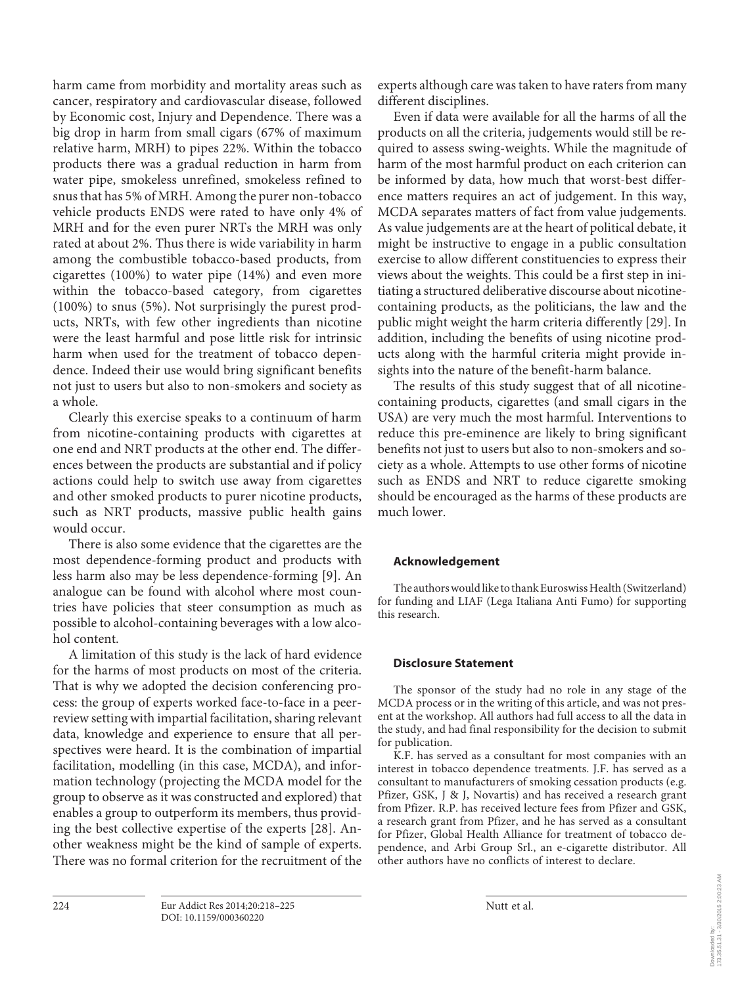harm came from morbidity and mortality areas such as cancer, respiratory and cardiovascular disease, followed by Economic cost, Injury and Dependence. There was a big drop in harm from small cigars (67% of maximum relative harm, MRH) to pipes 22%. Within the tobacco products there was a gradual reduction in harm from water pipe, smokeless unrefined, smokeless refined to snus that has 5% of MRH. Among the purer non-tobacco vehicle products ENDS were rated to have only 4% of MRH and for the even purer NRTs the MRH was only rated at about 2%. Thus there is wide variability in harm among the combustible tobacco-based products, from cigarettes (100%) to water pipe (14%) and even more within the tobacco-based category, from cigarettes (100%) to snus (5%). Not surprisingly the purest products, NRTs, with few other ingredients than nicotine were the least harmful and pose little risk for intrinsic harm when used for the treatment of tobacco dependence. Indeed their use would bring significant benefits not just to users but also to non-smokers and society as a whole.

 Clearly this exercise speaks to a continuum of harm from nicotine-containing products with cigarettes at one end and NRT products at the other end. The differences between the products are substantial and if policy actions could help to switch use away from cigarettes and other smoked products to purer nicotine products, such as NRT products, massive public health gains would occur.

 There is also some evidence that the cigarettes are the most dependence-forming product and products with less harm also may be less dependence-forming [9] . An analogue can be found with alcohol where most countries have policies that steer consumption as much as possible to alcohol-containing beverages with a low alcohol content.

 A limitation of this study is the lack of hard evidence for the harms of most products on most of the criteria. That is why we adopted the decision conferencing process: the group of experts worked face-to-face in a peerreview setting with impartial facilitation, sharing relevant data, knowledge and experience to ensure that all perspectives were heard. It is the combination of impartial facilitation, modelling (in this case, MCDA), and information technology (projecting the MCDA model for the group to observe as it was constructed and explored) that enables a group to outperform its members, thus providing the best collective expertise of the experts [28]. Another weakness might be the kind of sample of experts. There was no formal criterion for the recruitment of the

experts although care was taken to have raters from many different disciplines.

 Even if data were available for all the harms of all the products on all the criteria, judgements would still be required to assess swing-weights. While the magnitude of harm of the most harmful product on each criterion can be informed by data, how much that worst-best difference matters requires an act of judgement. In this way, MCDA separates matters of fact from value judgements. As value judgements are at the heart of political debate, it might be instructive to engage in a public consultation exercise to allow different constituencies to express their views about the weights. This could be a first step in initiating a structured deliberative discourse about nicotinecontaining products, as the politicians, the law and the public might weight the harm criteria differently [29]. In addition, including the benefits of using nicotine products along with the harmful criteria might provide insights into the nature of the benefit-harm balance.

 The results of this study suggest that of all nicotinecontaining products, cigarettes (and small cigars in the USA) are very much the most harmful. Interventions to reduce this pre-eminence are likely to bring significant benefits not just to users but also to non-smokers and society as a whole. Attempts to use other forms of nicotine such as ENDS and NRT to reduce cigarette smoking should be encouraged as the harms of these products are much lower.

# **Acknowledgement**

 The authors would like to thank Euroswiss Health ( Switzerland) for funding and LIAF (Lega Italiana Anti Fumo) for supporting this research.

# **Disclosure Statement**

 The sponsor of the study had no role in any stage of the MCDA process or in the writing of this article, and was not present at the workshop. All authors had full access to all the data in the study, and had final responsibility for the decision to submit for publication.

 K.F. has served as a consultant for most companies with an interest in tobacco dependence treatments. J.F. has served as a consultant to manufacturers of smoking cessation products (e.g. Pfizer, GSK, J & J, Novartis) and has received a research grant from Pfizer. R.P. has received lecture fees from Pfizer and GSK, a research grant from Pfizer, and he has served as a consultant for Pfizer, Global Health Alliance for treatment of tobacco dependence, and Arbi Group Srl., an e-cigarette distributor. All other authors have no conflicts of interest to declare.